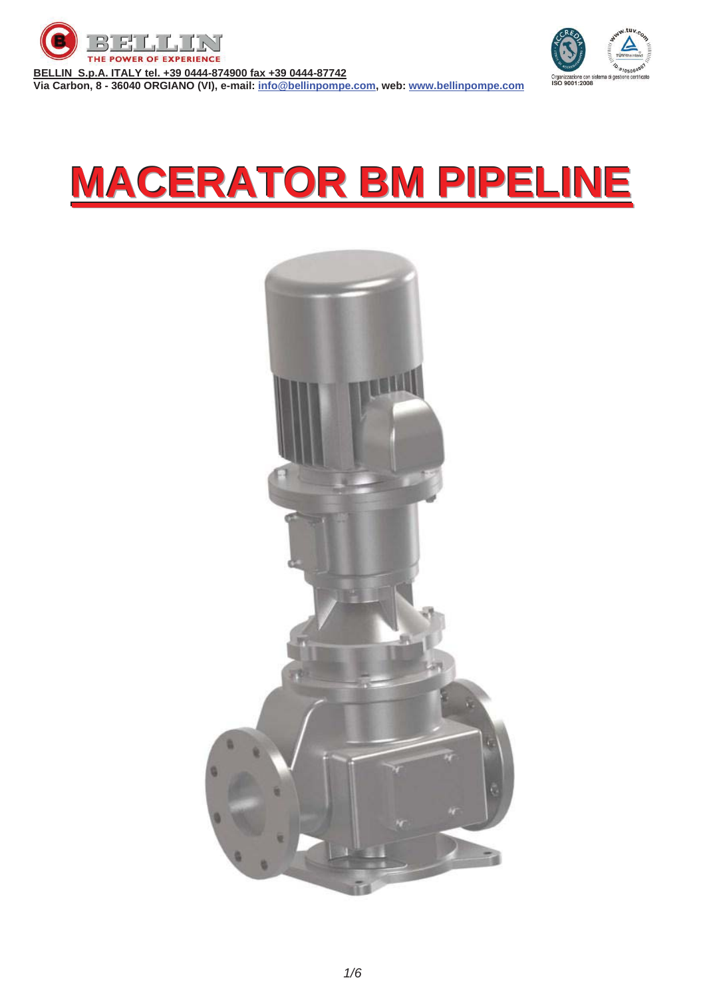

**BELLIN S.p.A. ITALY tel. +39 0444-874900 fax +39 0444-87742**



**MACERATOR BM PIPELINE**

**Via Carbon, 8 - 36040 ORGIANO (VI), e-mail: info@bellinpompe.com, web: www.bellinpompe.com**

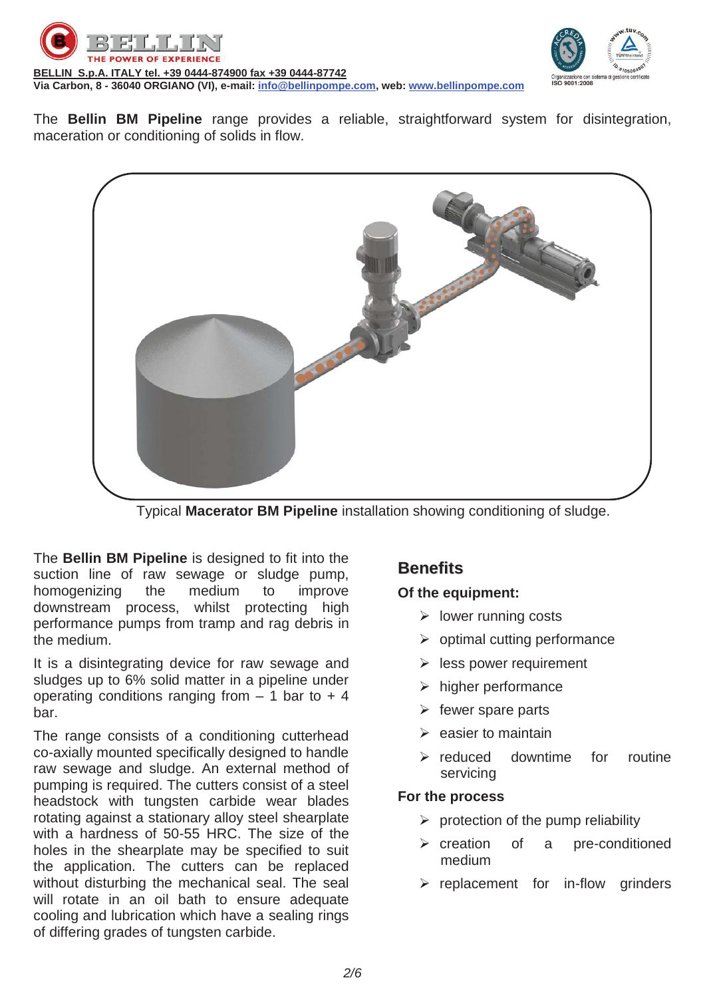



The **Bellin BM Pipeline** range provides a reliable, straightforward system for disintegration, maceration or conditioning of solids in flow.



Typical **Macerator BM Pipeline** installation showing conditioning of sludge.

The **Bellin BM Pipeline** is designed to fit into the suction line of raw sewage or sludge pump, homogenizing the medium to improve downstream process, whilst protecting high performance pumps from tramp and rag debris in the medium.

It is a disintegrating device for raw sewage and sludges up to 6% solid matter in a pipeline under operating conditions ranging from  $-1$  bar to  $+4$ bar.

The range consists of a conditioning cutterhead co-axially mounted specifically designed to handle raw sewage and sludge. An external method of pumping is required. The cutters consist of a steel headstock with tungsten carbide wear blades rotating against a stationary alloy steel shearplate with a hardness of 50-55 HRC. The size of the holes in the shearplate may be specified to suit the application. The cutters can be replaced without disturbing the mechanical seal. The seal will rotate in an oil bath to ensure adequate cooling and lubrication which have a sealing rings of differing grades of tungsten carbide.

#### **Benefits**

#### **Of the equipment:**

- $\triangleright$  lower running costs
- $\triangleright$  optimal cutting performance
- $\triangleright$  less power requirement
- $\triangleright$  higher performance
- $\triangleright$  fewer spare parts
- $\triangleright$  easier to maintain
- $\triangleright$  reduced downtime for routine servicing

#### **For the process**

- $\triangleright$  protection of the pump reliability
- ¾ creation of a pre-conditioned medium
- $\triangleright$  replacement for in-flow grinders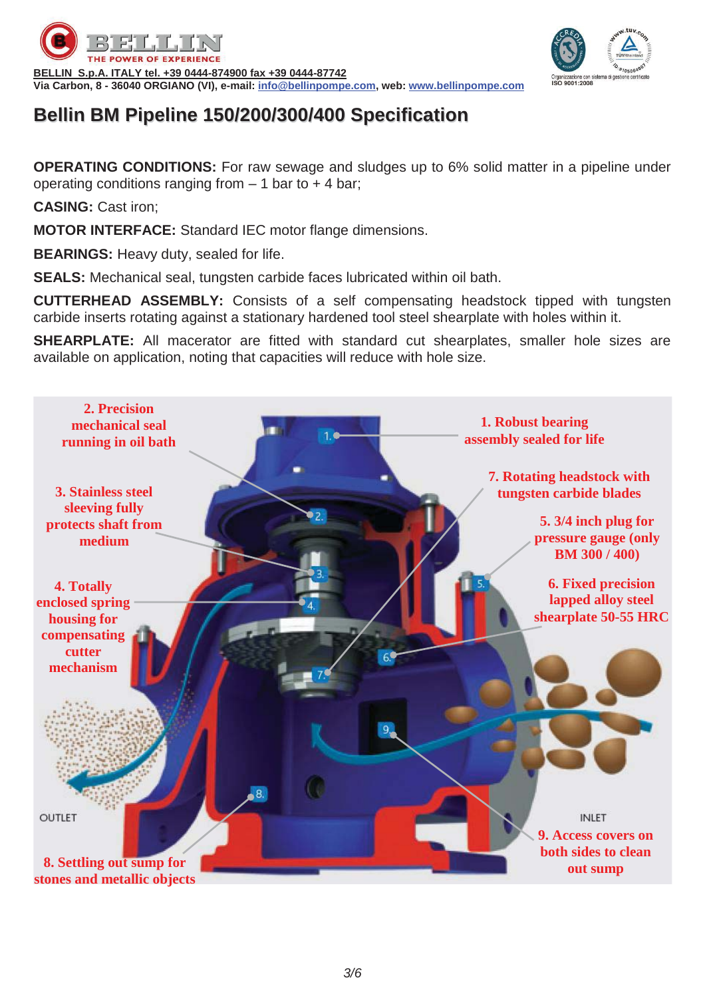



### **Bellin BM Pipeline 150/200/300/400 Specification**

**OPERATING CONDITIONS:** For raw sewage and sludges up to 6% solid matter in a pipeline under operating conditions ranging from  $-1$  bar to  $+4$  bar;

**CASING:** Cast iron;

**MOTOR INTERFACE:** Standard IEC motor flange dimensions.

**BEARINGS:** Heavy duty, sealed for life.

**SEALS:** Mechanical seal, tungsten carbide faces lubricated within oil bath.

**CUTTERHEAD ASSEMBLY:** Consists of a self compensating headstock tipped with tungsten carbide inserts rotating against a stationary hardened tool steel shearplate with holes within it.

**SHEARPLATE:** All macerator are fitted with standard cut shearplates, smaller hole sizes are available on application, noting that capacities will reduce with hole size.

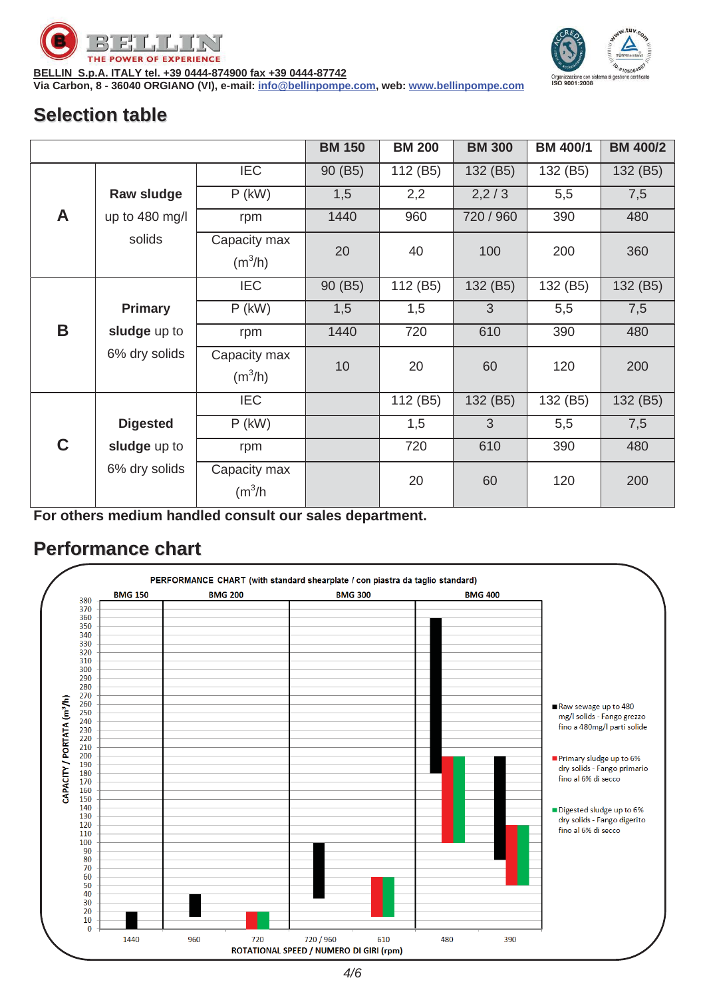



**BELLIN S.p.A. ITALY tel. +39 0444-874900 fax +39 0444-87742**

**Via Carbon, 8 - 36040 ORGIANO (VI), e-mail: info@bellinpompe.com, web: www.bellinpompe.com**

### **Selection table**

|   |                 |                                     | <b>BM 150</b> | <b>BM 200</b> | <b>BM 300</b> | <b>BM 400/1</b> | <b>BM 400/2</b> |
|---|-----------------|-------------------------------------|---------------|---------------|---------------|-----------------|-----------------|
|   |                 | <b>IEC</b>                          | 90 (B5)       | 112 (B5)      | 132 (B5)      | 132 (B5)        | 132 (B5)        |
|   | Raw sludge      | $P$ (kW)                            | 1,5           | 2,2           | 2,2/3         | 5,5             | 7,5             |
| A | up to 480 mg/l  | rpm                                 | 1440          | 960           | 720 / 960     | 390             | 480             |
|   | solids          | Capacity max<br>$(m^3/h)$           | 20            | 40            | 100           | 200             | 360             |
|   |                 | <b>IEC</b>                          | 90 (B5)       | 112 (B5)      | 132 (B5)      | 132 (B5)        | 132 (B5)        |
|   | <b>Primary</b>  | $P$ (kW)                            | 1,5           | 1,5           | 3             | 5,5             | 7,5             |
| B | sludge up to    | rpm                                 | 1440          | 720           | 610           | 390             | 480             |
|   | 6% dry solids   | Capacity max<br>$(m^3/h)$           | 10            | 20            | 60            | 120             | 200             |
|   |                 | <b>IEC</b>                          |               | 112 (B5)      | 132 (B5)      | 132 (B5)        | 132 (B5)        |
|   | <b>Digested</b> | $P$ (kW)                            |               | 1,5           | 3             | 5,5             | 7,5             |
| C | sludge up to    | rpm                                 |               | 720           | 610           | 390             | 480             |
|   | 6% dry solids   | Capacity max<br>(m <sup>3</sup> /h) |               | 20            | 60            | 120             | 200             |

**For others medium handled consult our sales department.** 

#### **Performance chart**

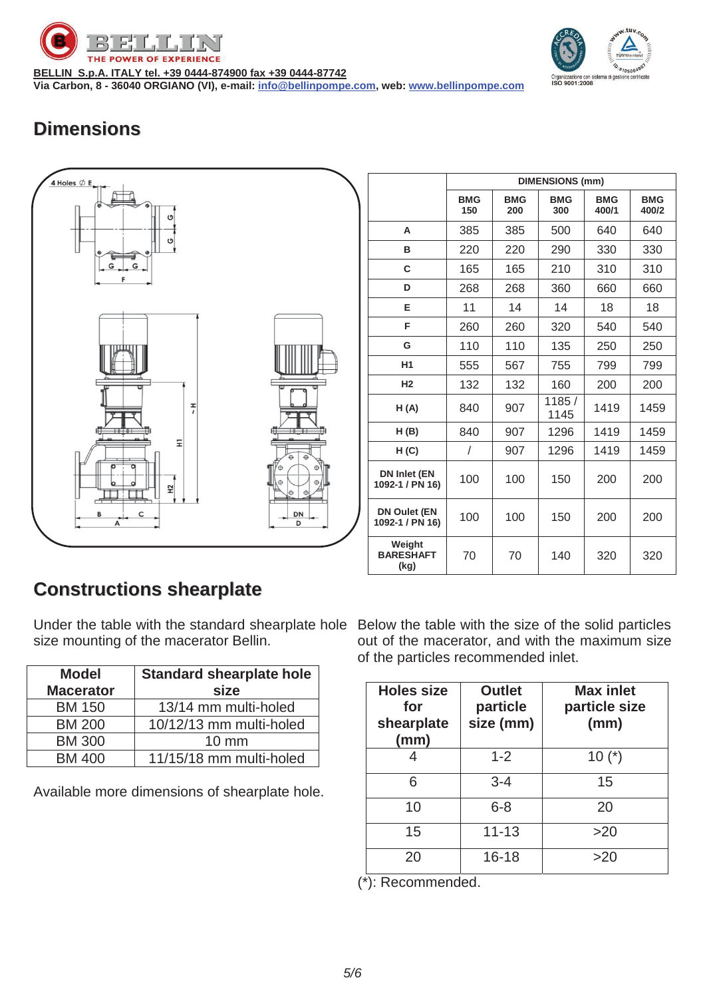

**BELLIN S.p.A. ITALY tel. +39 0444-874900 fax +39 0444-87742 Via Carbon, 8 - 36040 ORGIANO (VI), e-mail: info@bellinpompe.com, web: www.bellinpompe.com**



# **Dimensions**



|                                        | <b>DIMENSIONS (mm)</b> |                   |                   |                     |                     |
|----------------------------------------|------------------------|-------------------|-------------------|---------------------|---------------------|
|                                        | <b>BMG</b><br>150      | <b>BMG</b><br>200 | <b>BMG</b><br>300 | <b>BMG</b><br>400/1 | <b>BMG</b><br>400/2 |
| A                                      | 385                    | 385               | 500               | 640                 | 640                 |
| в                                      | 220                    | 220               | 290               | 330                 | 330                 |
| C                                      | 165                    | 165               | 210               | 310                 | 310                 |
| D                                      | 268                    | 268               | 360               | 660                 | 660                 |
| Е                                      | 11                     | 14                | 14                | 18                  | 18                  |
| F                                      | 260                    | 260               | 320               | 540                 | 540                 |
| G                                      | 110                    | 110               | 135               | 250                 | 250                 |
| H <sub>1</sub>                         | 555                    | 567               | 755               | 799                 | 799                 |
| H <sub>2</sub>                         | 132                    | 132               | 160               | 200                 | 200                 |
| H(A)                                   | 840                    | 907               | 1185/<br>1145     | 1419                | 1459                |
| H(B)                                   | 840                    | 907               | 1296              | 1419                | 1459                |
| H(C)                                   | $\prime$               | 907               | 1296              | 1419                | 1459                |
| DN Inlet (EN<br>1092-1 / PN 16)        | 100                    | 100               | 150               | 200                 | 200                 |
| <b>DN Oulet (EN</b><br>1092-1 / PN 16) | 100                    | 100               | 150               | 200                 | 200                 |
| Weight<br><b>BARESHAFT</b><br>(kg)     | 70                     | 70                | 140               | 320                 | 320                 |

## **Constructions shearplate**

Under the table with the standard shearplate hole Below the table with the size of the solid particles size mounting of the macerator Bellin.

| <b>Model</b>     | <b>Standard shearplate hole</b> |
|------------------|---------------------------------|
| <b>Macerator</b> | size                            |
| <b>BM 150</b>    | 13/14 mm multi-holed            |
| <b>BM 200</b>    | 10/12/13 mm multi-holed         |
| <b>BM 300</b>    | $10 \text{ mm}$                 |
| <b>BM 400</b>    | 11/15/18 mm multi-holed         |

Available more dimensions of shearplate hole.

out of the macerator, and with the maximum size of the particles recommended inlet.

| <b>Holes size</b><br>for<br>shearplate<br>(mm) | <b>Outlet</b><br>particle<br>size (mm) | <b>Max inlet</b><br>particle size<br>(mm) |
|------------------------------------------------|----------------------------------------|-------------------------------------------|
|                                                | $1 - 2$                                | $10(*)$                                   |
| 6                                              | $3 - 4$                                | 15                                        |
| 10                                             | $6 - 8$                                | 20                                        |
| 15                                             | $11 - 13$                              | >20                                       |
| 20                                             | $16 - 18$                              | >20                                       |

(\*): Recommended.